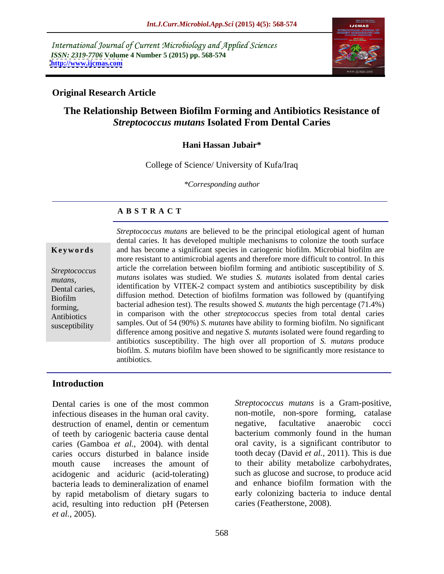International Journal of Current Microbiology and Applied Sciences *ISSN: 2319-7706* **Volume 4 Number 5 (2015) pp. 568-574 <http://www.ijcmas.com>**



### **Original Research Article**

# **The Relationship Between Biofilm Forming and Antibiotics Resistance of**  *Streptococcus mutans* **Isolated From Dental Caries**

### **Hani Hassan Jubair\***

College of Science/ University of Kufa/Iraq

*\*Corresponding author*

### **A B S T R A C T**

susceptibility

*Streptococcus mutans* are believed to be the principal etiological agent of human dental caries. It has developed multiple mechanisms to colonize the tooth surface and has become a significant species in cariogenic biofilm. Microbial biofilm are **Ke ywo rds** more resistant to antimicrobial agents and therefore more difficult to control. In this article the correlation between biofilm forming and antibiotic susceptibility of *S. Streptococcus mutans* isolates was studied. We studies *S. mutants* isolated from dental caries mutans,<br>Dental caries, identification by VITEK-2 compact system and antibiotics susceptibility by disk<br> $\frac{1}{2}$ diffusion method. Detection of biofilms formation was followed by (quantifying Biofilm bacterial adhesion test). The results showed *S. mutants* the high percentage (71.4%) forming, Antibiotics in comparison with the other *streptococcus* species from total dental caries samples. Out of 54 (90%) *S. mutants* have ability to forming biofilm. No significant difference among positive and negative *S. mutants* isolated were found regarding to antibiotics susceptibility. The high over all proportion of *S. mutans* produce biofilm. *S. mutans* biofilm have been showed to be significantly more resistance to antibiotics.

### **Introduction**

Dental caries is one of the most common *Streptococcus mutans* is a Gram-positive, infectious diseases in the human oral cavity. destruction of enamel, dentin or cementum enegative, facultative anaerobic cocci of teeth by cariogenic bacteria cause dental caries (Gamboa *et al.,* 2004). with dental caries occurs disturbed in balance inside tooth decay (David *et al.,* 2011). This is due mouth cause increases the amount of to their ability metabolize carbohydrates, acidogenic and aciduric (acid-tolerating) bacteria leads to demineralization of enamel by rapid metabolism of dietary sugars to acid, resulting into reduction pH (Petersen *et al.,* 2005).

non-motile, non-spore forming, catalase negative, facultative anaerobic cocci bacterium commonly found in the human oral cavity, is a significant contributor to such as glucose and sucrose, to produce acid and enhance biofilm formation with the early colonizing bacteria to induce dental caries (Featherstone, 2008).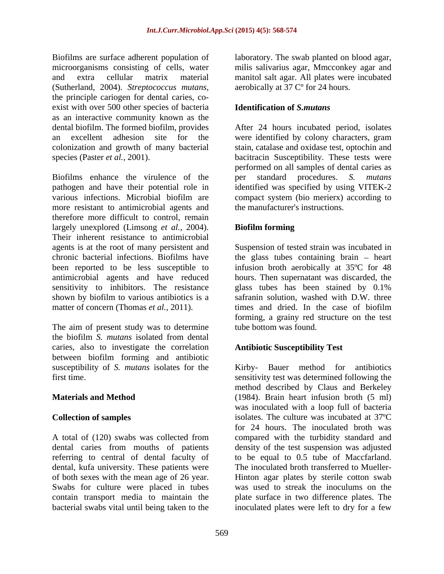Biofilms are surface adherent population of laboratory. The swab planted on blood agar, microorganisms consisting of cells, water milis salivarius agar, Mmcconkey agar and and extra cellular matrix material manitol salt agar. All plates were incubated (Sutherland, 2004). *Streptococcus mutans*, aerobically at 37 C<sup>o</sup> for 24 hours.<br>the principle cariogen for dental caries, coexist with over 500 other species of bacteria as an interactive community known as the

Biofilms enhance the virulence of the the standard procedures. S. mutans pathogen and have their potential role in various infections. Microbial biofilm are compact system (bio merierx) according to more resistant to antimicrobial agents and therefore more difficult to control, remain largely unexplored (Limsong *et al.,* 2004). Their inherent resistance to antimicrobial agents is at the root of many persistent and Suspension of tested strain was incubated in chronic bacterial infections. Biofilms have the glass tubes containing brain – heart been reported to be less susceptible to infusion broth aerobically at 35ºC for 48 antimicrobial agents and have reduced sensitivity to inhibitors. The resistance sensual glass tubes has been stained by 0.1% shown by biofilm to various antibiotics is a matter of concern (Thomas *et al.*, 2011). times and dried. In the case of biofilm

The aim of present study was to determine the biofilm *S. mutans* isolated from dental caries, also to investigate the correlation between biofilm forming and antibiotic

A total of (120) swabs was collected from compared with the turbidity standard and dental caries from mouths of patients density of the test suspension was adjusted referring to central of dental faculty of dental, kufa university. These patients were of both sexes with the mean age of 26 year. Swabs for culture were placed in tubes was used to streak the inoculums on the contain transport media to maintain the plate surface in two difference plates. The bacterial swabs vital until being taken to the

aerobically at 37 Cº for 24 hours.

## **Identification of** *S.mutans*

dental biofilm. The formed biofilm, provides After 24 hours incubated period, isolates an excellent adhesion site for the were identified by colony characters, gram colonization and growth of many bacterial stain, catalase and oxidase test, optochin and species (Paster *et al.*, 2001). bacitracin Susceptibility. These tests were performed on all samples of dental caries as per standard procedures. identified was specified by using VITEK-2 the manufacturer's instructions.

## **Biofilm forming**

hours. Then supernatant was discarded, the glass tubes has been stained by 0.1% safranin solution, washed with D.W. three times and dried. In the case of biofilm forming, a grainy red structure on the test tube bottom was found.

## **Antibiotic Susceptibility Test**

susceptibility of *S. mutans* isolates for the Kirby- Bauer method for antibiotics first time. sensitivity test was determined following the **Materials and Method** (1984). Brain heart infusion broth (5 ml) **Collection of samples** isolates. The culture was incubated at 37ºC method described by Claus and Berkeley was inoculated with a loop full of bacteria for 24 hours. The inoculated broth was to be equal to 0.5 tube of Maccfarland. The inoculated broth transferred to Mueller- Hinton agar plates by sterile cotton swab inoculated plates were left to dry for a few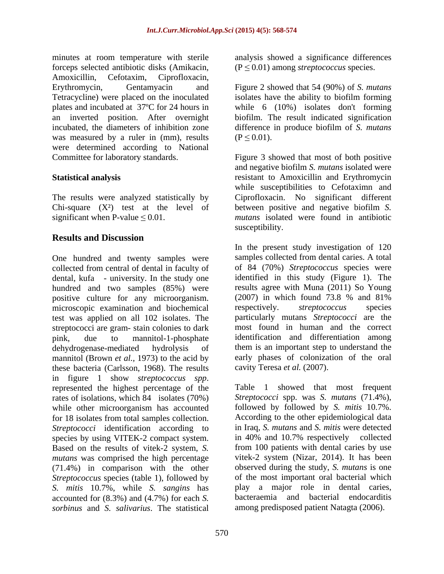minutes at room temperature with sterile analysis showed a significance differences forceps selected antibiotic disks (Amikacin, Amoxicillin, Cefotaxim, Ciprofloxacin, Erythromycin, Gentamyacin and Figure 2 showed that 54 (90%) of *S. mutans* Tetracycline) were placed on the inoculated isolates have the ability to biofilm forming plates and incubated at 37ºC for 24 hours in while 6 (10%) isolates don't forming an inverted position. After overnight biofilm. The result indicated signification incubated, the diameters of inhibition zone was measured by a ruler in (mm), results  $(P \le 0.01)$ . were determined according to National Committee for laboratory standards.

The results were analyzed statistically by

# **Results and Discussion**

One hundred and twenty samples were collected from central of dental in faculty of dental, kufa - university. In the study one hundred and two samples (85%) were positive culture for any microorganism. (2007) in which found 73.8 %<br>microscopic examination and biochemical respectively. *streptococcus* microscopic examination and biochemical respectively. *streptococcus* species test was applied on all 102 isolates. The streptococci are gram- stain colonies to dark mannitol (Brown *et al.*, 1973) to the acid by early phases of colonizar these bacteria (Carlsson, 1968). The results cavity Teresa *et al.* (2007). these bacteria (Carlsson, 1968). The results in figure <sup>1</sup> show *streptococcus spp*. represented the highest percentage of the rates of isolations, which 84 isolates (70%) Streptococci spp. was S. mutans (71.4%), while other microorganism has accounted followed by followed by S. mitis 10.7%. while other microorganism has accounted followed by followed by S. mitis 10.7%.<br>for 18 isolates from total samples collection. According to the other epidemiological data for 18 isolates from total samples collection. *Streptococci* identification according to species by using VITEK-2 compact system. Based on the results of vitek-2 system, *S. mutans* was comprised the high percentage (71.4%) in comparison with the other *Streptococcus* species (table 1), followed by *S. mitis* 10.7%, while *S. sangins* has accounted for (8.3%) and (4.7%) for each *S. sorbinus* and *S. salivarius*. The statistical

 $(P \leq 0.01)$  among *streptococcus* species.

difference in produce biofilm of *S. mutans*  $(P \le 0.01)$ .

**Statistical analysis** resistant to Amoxicillin and Erythromycin Chi-square (X²) test at the level of between positive and negative biofilm *S.* significant when  $P$ -value  $\leq 0.01$ . *mutans* isolated were found in antibiotic Figure 3 showed that most of both positive and negative biofilm *S. mutans* isolated were while susceptibilities to Cefotaximn and Ciprofloxacin. No significant different

pink, due to mannitol-1-phosphate identification and differentiation among dehydrogenase-mediated hydrolysis of them is an important step to understand the susceptibility.<br>In the present study investigation of 120 samples collected from dental caries. A total of 84 (70%) *Streptococcus* species were identified in this study (Figure 1). The results agree with Muna (2011) So Young (2007) in which found 73.8 % and 81% respectively. *streptococcus* species particularly mutans *Streptococci* are the most found in human and the correct early phases of colonization of the oral

cavity Teresa *et al.* (2007).<br>Table 1 showed that most frequent *Streptococci* spp. was *S. mutans* (71.4%), followed by followed by *S. mitis* 10.7%. According to the other epidemiological data in Iraq, *S. mutans* and *S. mitis* were detected in 40% and 10.7% respectively collected from 100 patients with dental caries by use vitek-2 system (Nizar, 2014). It has been observed during the study, *S. mutans* is one of the most important oral bacterial which play a major role in dental caries, bacteraemia and bacterial endocarditis among predisposed patient Natagta (2006).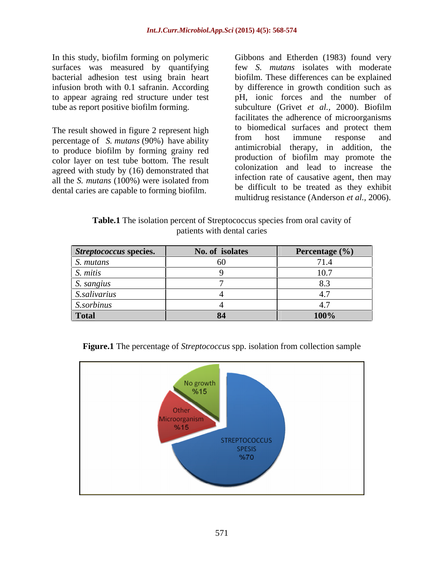In this study, biofilm forming on polymeric Gibbons and Etherden (1983) found very

The result showed in figure 2 represent high to both both surfaces and protect them<br>represents of S mutane (00%) have ability from host immune response and percentage of *S. mutans* (90%) have ability trom host immune response and the number of *S. mutans* (90%) have ability trom host immune response and to produce biofilm by forming grainy red color layer on test tube bottom. The result agreed with study by (16) demonstrated that all the *S. mutans* (100%) were isolated from dental caries are capable to forming biofilm.

surfaces was measured by quantifying few *S. mutans* isolates with moderate bacterial adhesion test using brain heart biofilm. These differences can be explained infusion broth with 0.1 safranin. According by difference in growth condition such as to appear agraing red structure under test pH, ionic forces and the number of tube as report positive biofilm forming. subculture (Grivet *et al.,* 2000). Biofilm facilitates the adherence of microorganisms to biomedical surfaces and protect them from host immune response and antimicrobial therapy, in addition, production of biofilm may promote the colonization and lead to increase the infection rate of causative agent, then may be difficult to be treated as they exhibit multidrug resistance (Anderson *et al.,* 2006).

**Table.1** The isolation percent of Streptococcus species from oral cavity of patients with dental caries

| <i>entococcus s</i> pecies. | No. of isolates | Percentage (%) |
|-----------------------------|-----------------|----------------|
|                             |                 | $-71$          |
|                             |                 |                |
|                             |                 | .              |
| <i>auvarus</i>              |                 |                |
|                             |                 |                |
|                             |                 | <b>100%</b>    |



**Figure.1** The percentage of *Streptococcus* spp. isolation from collection sample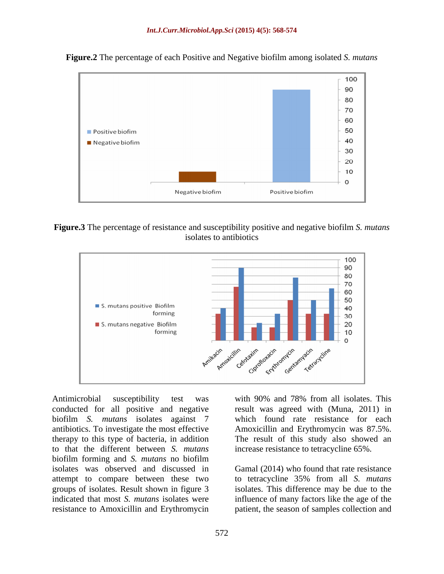

**Figure.2** The percentage of each Positive and Negative biofilm among isolated *S. mutans*





Antimicrobial susceptibility test was with 90% and 78% from all isolates. This conducted for all positive and negative result was agreed with (Muna, 2011) in biofilm *S. mutans* isolates against 7 which found rate resistance for each antibiotics. To investigate the most effective Amoxicillin and Erythromycin was 87.5%. therapy to this type of bacteria, in addition The result of this study also showed an to that the different between *S. mutans* biofilm forming and *S. mutans* no biofilm isolates was observed and discussed in attempt to compare between these two to tetracycline 35% from all S. mutans groups of isolates. Result shown in figure 3 isolates. This difference may be due to the indicated that most *S. mutans* isolates were influence of many factors like the age of the resistance to Amoxicillin and Erythromycin patient, the season of samples collection and

increase resistance to tetracycline 65%.

Gamal (2014) who found that rate resistance to tetracycline 35% from all *S. mutans*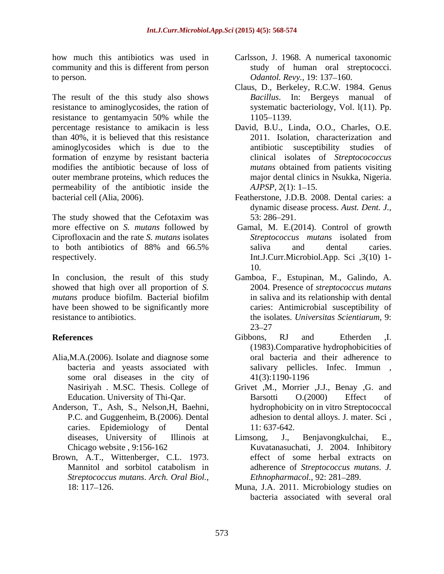community and this is different from person to person. *Odantol. Revy.,* 19: 137 160.

resistance to aminoglycosides, the ration of resistance to gentamyacin 50% while the  $1105-1139$ . than 40%, it is believed that this resistance aminoglycosides which is due to the formation of enzyme by resistant bacteria modifies the antibiotic because of loss of outer membrane proteins, which reduces the permeability of the antibiotic inside the *AJPSP*, 2(1): 1–15. bacterial cell (Alia, 2006). Featherstone, J.D.B. 2008. Dental caries: a

The study showed that the Cefotaxim was  $53:286-291$ . more effective on *S. mutans* followed by Gamal, M. E.(2014). Control of growth Ciprofloxacin and the rate *S. mutans* isolates to both antibiotics of 88% and 66.5% respectively. Int.J.Curr.Microbiol.App. Sci ,3(10) 1-

showed that high over all proportion of *S. mutans* produce biofilm. Bacterial biofilm have been showed to be significantly more

- Alia,M.A.(2006). Isolate and diagnose some some oral diseases in the city of 41(3):1190-1196
- caries. Epidemiology of Dental 11:637-642.
- Brown, A.T., Wittenberger, C.L. 1973. *Streptococcus mutans*. *Arch. Oral Biol.,*
- how much this antibiotics was used in Carlsson, J. 1968. A numerical taxonomic study of human oral streptococci.
- The result of the this study also shows Bacillus. In: Bergeys manual of Claus, D., Berkeley, R.C.W. 1984. Genus *Bacillus*. In: Bergeys manual systematic bacteriology, Vol. l(11). Pp. 1105–1139.
- percentage resistance to amikacin is less David, B.U., Linda, O.O., Charles, O.E. 2011. Isolation, characterization and antibiotic susceptibility studies clinical isolates of *Streptocococcus mutans* obtained from patients visiting major dental clinics in Nsukka, Nigeria. *AJPSP*, 2(1): 1–15.
	- dynamic disease process. *Aust. Dent. J.,* 53: 286 291.
	- *Streptococcus mutans* isolated from saliva and dental caries. 10.
- In conclusion, the result of this study Gamboa, F., Estupinan, M., Galindo, A. resistance to antibiotics. the isolates. *Universitas Scientiarum,* 9: 2004. Presence of *streptococcus mutans* in saliva and its relationship with dental caries: Antimicrobial susceptibility of 23–27 and 23–27 and 23–27 and 23–27 and 23–27 and 23–27 and 23–27 and 23–27 and 23–27 and 23–27 and 23–27 and 23–27 and 23–27 and 23–27 and 23–27 and 23–27 and 24–27 and 24–27 and 24–27 and 24–27 and 24–27 and 24–27 and 24
- **References** 5.1 and Etherden 1. bacteria and yeasts associated with salivary pellicles. Infec. Immun , Gibbons, RJ and Etherden ,I. (1983).Comparative hydrophobicities of oral bacteria and their adherence to 41(3):1190-1196
- Nasiriyah . M.SC. Thesis. College of Grivet ,M., Morrier ,J.J., Benay ,G. and Education. University of Thi-Qar. Barsotti O.(2000) Effect of Anderson, T., Ash, S., Nelson, H, Baehni, hydrophobicity on in vitro Streptococcal P.C. and Guggenheim, B.(2006). Dental adhesion to dental alloys. J. mater. Sci , Barsotti O.(2000) Effect of 11: 637-642.
	- diseases, University of Illinois at Limsong, J., Benjavongkulchai, E., Chicago website , 9:156-162 Kuvatanasuchati, J. 2004. Inhibitory Mannitol and sorbitol catabolism in adherence of Streptococcus mutans. J. Limsong, J., Benjavongkulchai, E., Kuvatanasuchati, J. 2004. Inhibitory effect of some herbal extracts on adherence of *Streptococcus mutans*. *J. Ethnopharmacol.*, 92: 281-289.
	- 18: 117 126. Muna, J.A. 2011. Microbiology studies on bacteria associated with several oral